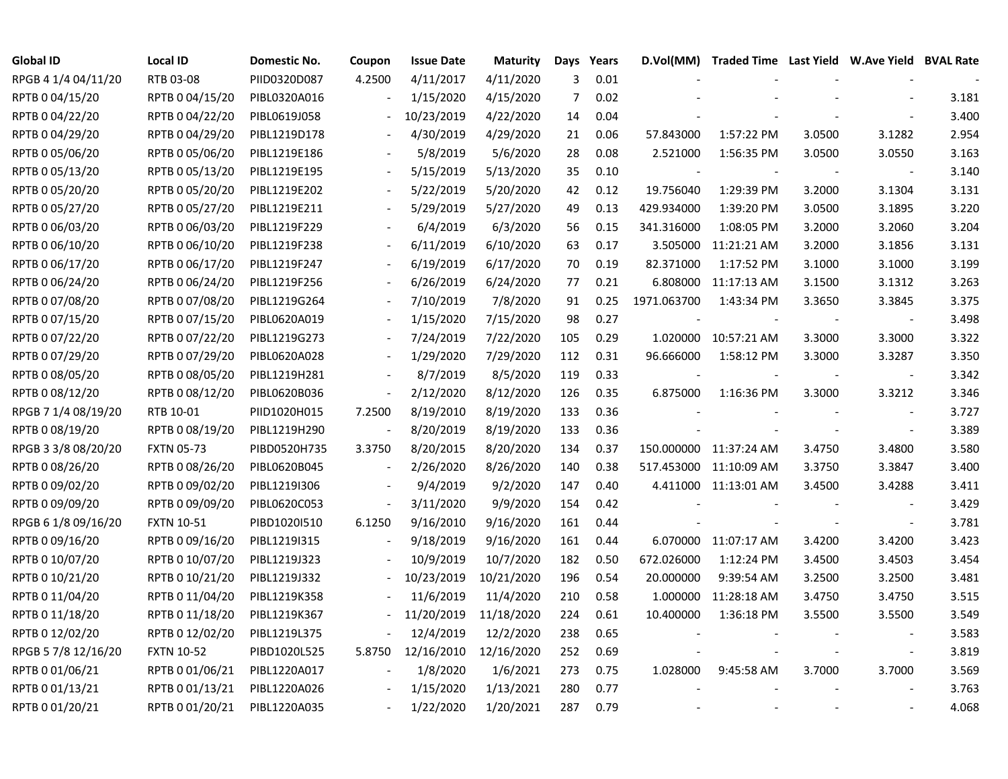| Global ID           | <b>Local ID</b>   | Domestic No. | Coupon                   | <b>Issue Date</b> | <b>Maturity</b> | Days | Years |             | D.Vol(MM) Traded Time Last Yield W.Ave Yield BVAL Rate |        |                          |       |
|---------------------|-------------------|--------------|--------------------------|-------------------|-----------------|------|-------|-------------|--------------------------------------------------------|--------|--------------------------|-------|
| RPGB 4 1/4 04/11/20 | RTB 03-08         | PIID0320D087 | 4.2500                   | 4/11/2017         | 4/11/2020       | 3    | 0.01  |             |                                                        |        |                          |       |
| RPTB 0 04/15/20     | RPTB 0 04/15/20   | PIBL0320A016 |                          | 1/15/2020         | 4/15/2020       | 7    | 0.02  |             |                                                        |        |                          | 3.181 |
| RPTB 0 04/22/20     | RPTB 0 04/22/20   | PIBL0619J058 |                          | 10/23/2019        | 4/22/2020       | 14   | 0.04  |             |                                                        |        |                          | 3.400 |
| RPTB 0 04/29/20     | RPTB 0 04/29/20   | PIBL1219D178 |                          | 4/30/2019         | 4/29/2020       | 21   | 0.06  | 57.843000   | 1:57:22 PM                                             | 3.0500 | 3.1282                   | 2.954 |
| RPTB 0 05/06/20     | RPTB 0 05/06/20   | PIBL1219E186 |                          | 5/8/2019          | 5/6/2020        | 28   | 0.08  | 2.521000    | 1:56:35 PM                                             | 3.0500 | 3.0550                   | 3.163 |
| RPTB 0 05/13/20     | RPTB 0 05/13/20   | PIBL1219E195 | $\overline{\phantom{a}}$ | 5/15/2019         | 5/13/2020       | 35   | 0.10  |             |                                                        |        | $\overline{\phantom{a}}$ | 3.140 |
| RPTB 0 05/20/20     | RPTB 0 05/20/20   | PIBL1219E202 | $\overline{\phantom{a}}$ | 5/22/2019         | 5/20/2020       | 42   | 0.12  | 19.756040   | 1:29:39 PM                                             | 3.2000 | 3.1304                   | 3.131 |
| RPTB 0 05/27/20     | RPTB 0 05/27/20   | PIBL1219E211 |                          | 5/29/2019         | 5/27/2020       | 49   | 0.13  | 429.934000  | 1:39:20 PM                                             | 3.0500 | 3.1895                   | 3.220 |
| RPTB 0 06/03/20     | RPTB 0 06/03/20   | PIBL1219F229 |                          | 6/4/2019          | 6/3/2020        | 56   | 0.15  | 341.316000  | 1:08:05 PM                                             | 3.2000 | 3.2060                   | 3.204 |
| RPTB 0 06/10/20     | RPTB 0 06/10/20   | PIBL1219F238 |                          | 6/11/2019         | 6/10/2020       | 63   | 0.17  | 3.505000    | 11:21:21 AM                                            | 3.2000 | 3.1856                   | 3.131 |
| RPTB 0 06/17/20     | RPTB 0 06/17/20   | PIBL1219F247 |                          | 6/19/2019         | 6/17/2020       | 70   | 0.19  | 82.371000   | 1:17:52 PM                                             | 3.1000 | 3.1000                   | 3.199 |
| RPTB 0 06/24/20     | RPTB 0 06/24/20   | PIBL1219F256 |                          | 6/26/2019         | 6/24/2020       | 77   | 0.21  | 6.808000    | 11:17:13 AM                                            | 3.1500 | 3.1312                   | 3.263 |
| RPTB 0 07/08/20     | RPTB 0 07/08/20   | PIBL1219G264 |                          | 7/10/2019         | 7/8/2020        | 91   | 0.25  | 1971.063700 | 1:43:34 PM                                             | 3.3650 | 3.3845                   | 3.375 |
| RPTB 0 07/15/20     | RPTB 0 07/15/20   | PIBL0620A019 |                          | 1/15/2020         | 7/15/2020       | 98   | 0.27  |             |                                                        |        | $\overline{\phantom{a}}$ | 3.498 |
| RPTB 0 07/22/20     | RPTB 0 07/22/20   | PIBL1219G273 |                          | 7/24/2019         | 7/22/2020       | 105  | 0.29  | 1.020000    | 10:57:21 AM                                            | 3.3000 | 3.3000                   | 3.322 |
| RPTB 0 07/29/20     | RPTB 0 07/29/20   | PIBL0620A028 |                          | 1/29/2020         | 7/29/2020       | 112  | 0.31  | 96.666000   | 1:58:12 PM                                             | 3.3000 | 3.3287                   | 3.350 |
| RPTB 0 08/05/20     | RPTB 0 08/05/20   | PIBL1219H281 |                          | 8/7/2019          | 8/5/2020        | 119  | 0.33  |             |                                                        |        |                          | 3.342 |
| RPTB 0 08/12/20     | RPTB 0 08/12/20   | PIBL0620B036 | $\overline{\phantom{a}}$ | 2/12/2020         | 8/12/2020       | 126  | 0.35  | 6.875000    | 1:16:36 PM                                             | 3.3000 | 3.3212                   | 3.346 |
| RPGB 7 1/4 08/19/20 | RTB 10-01         | PIID1020H015 | 7.2500                   | 8/19/2010         | 8/19/2020       | 133  | 0.36  |             |                                                        |        | $\blacksquare$           | 3.727 |
| RPTB 0 08/19/20     | RPTB 0 08/19/20   | PIBL1219H290 |                          | 8/20/2019         | 8/19/2020       | 133  | 0.36  |             |                                                        |        |                          | 3.389 |
| RPGB 3 3/8 08/20/20 | <b>FXTN 05-73</b> | PIBD0520H735 | 3.3750                   | 8/20/2015         | 8/20/2020       | 134  | 0.37  |             | 150.000000 11:37:24 AM                                 | 3.4750 | 3.4800                   | 3.580 |
| RPTB 0 08/26/20     | RPTB 0 08/26/20   | PIBL0620B045 | $\overline{\phantom{a}}$ | 2/26/2020         | 8/26/2020       | 140  | 0.38  |             | 517.453000 11:10:09 AM                                 | 3.3750 | 3.3847                   | 3.400 |
| RPTB 0 09/02/20     | RPTB 0 09/02/20   | PIBL1219I306 |                          | 9/4/2019          | 9/2/2020        | 147  | 0.40  |             | 4.411000 11:13:01 AM                                   | 3.4500 | 3.4288                   | 3.411 |
| RPTB 0 09/09/20     | RPTB 0 09/09/20   | PIBL0620C053 | $\overline{\phantom{a}}$ | 3/11/2020         | 9/9/2020        | 154  | 0.42  |             |                                                        |        | $\overline{\phantom{a}}$ | 3.429 |
| RPGB 6 1/8 09/16/20 | <b>FXTN 10-51</b> | PIBD1020I510 | 6.1250                   | 9/16/2010         | 9/16/2020       | 161  | 0.44  |             |                                                        |        | $\overline{\phantom{a}}$ | 3.781 |
| RPTB 0 09/16/20     | RPTB 0 09/16/20   | PIBL1219I315 |                          | 9/18/2019         | 9/16/2020       | 161  | 0.44  |             | 6.070000 11:07:17 AM                                   | 3.4200 | 3.4200                   | 3.423 |
| RPTB 0 10/07/20     | RPTB 0 10/07/20   | PIBL1219J323 |                          | 10/9/2019         | 10/7/2020       | 182  | 0.50  | 672.026000  | 1:12:24 PM                                             | 3.4500 | 3.4503                   | 3.454 |
| RPTB 0 10/21/20     | RPTB 0 10/21/20   | PIBL1219J332 |                          | 10/23/2019        | 10/21/2020      | 196  | 0.54  | 20.000000   | 9:39:54 AM                                             | 3.2500 | 3.2500                   | 3.481 |
| RPTB 0 11/04/20     | RPTB 0 11/04/20   | PIBL1219K358 |                          | 11/6/2019         | 11/4/2020       | 210  | 0.58  | 1.000000    | 11:28:18 AM                                            | 3.4750 | 3.4750                   | 3.515 |
| RPTB 0 11/18/20     | RPTB 0 11/18/20   | PIBL1219K367 |                          | 11/20/2019        | 11/18/2020      | 224  | 0.61  | 10.400000   | 1:36:18 PM                                             | 3.5500 | 3.5500                   | 3.549 |
| RPTB 0 12/02/20     | RPTB 0 12/02/20   | PIBL1219L375 |                          | 12/4/2019         | 12/2/2020       | 238  | 0.65  |             |                                                        |        |                          | 3.583 |
| RPGB 5 7/8 12/16/20 | <b>FXTN 10-52</b> | PIBD1020L525 | 5.8750                   | 12/16/2010        | 12/16/2020      | 252  | 0.69  |             |                                                        |        | $\blacksquare$           | 3.819 |
| RPTB 0 01/06/21     | RPTB 0 01/06/21   | PIBL1220A017 |                          | 1/8/2020          | 1/6/2021        | 273  | 0.75  | 1.028000    | 9:45:58 AM                                             | 3.7000 | 3.7000                   | 3.569 |
| RPTB 0 01/13/21     | RPTB 0 01/13/21   | PIBL1220A026 |                          | 1/15/2020         | 1/13/2021       | 280  | 0.77  |             |                                                        |        |                          | 3.763 |
| RPTB 0 01/20/21     | RPTB 0 01/20/21   | PIBL1220A035 |                          | 1/22/2020         | 1/20/2021       | 287  | 0.79  |             |                                                        |        |                          | 4.068 |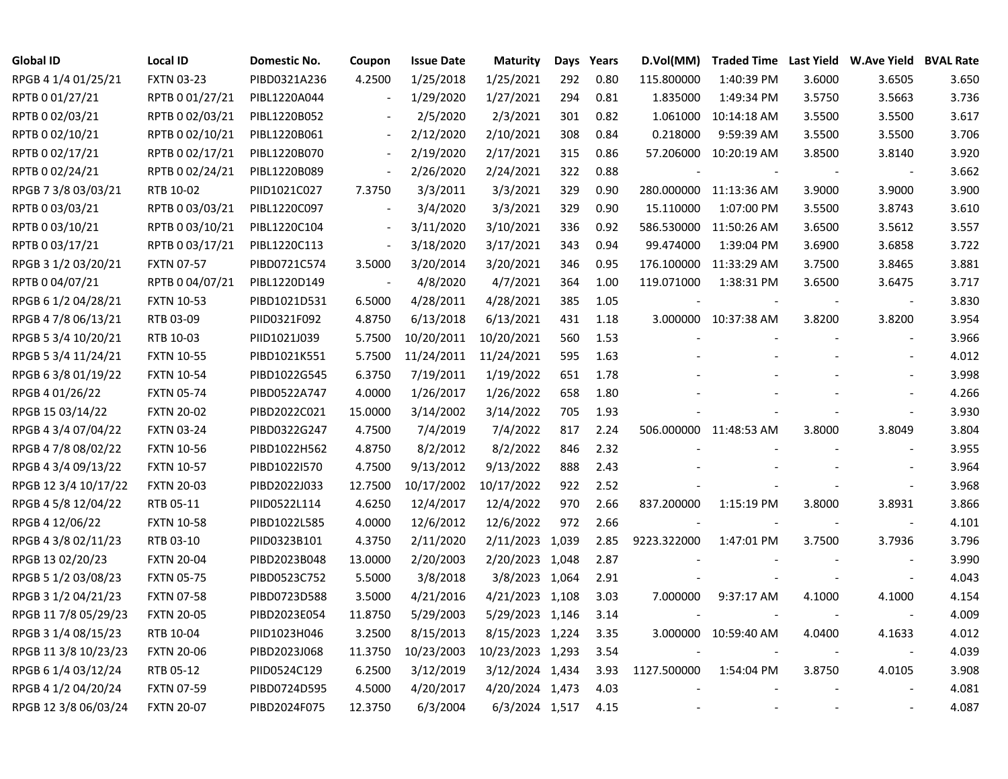| <b>Global ID</b>     | <b>Local ID</b>   | Domestic No. | Coupon                   | <b>Issue Date</b> | <b>Maturity</b>  | Days | Years | D.Vol(MM)   |                        |        | Traded Time Last Yield W.Ave Yield BVAL Rate |       |
|----------------------|-------------------|--------------|--------------------------|-------------------|------------------|------|-------|-------------|------------------------|--------|----------------------------------------------|-------|
| RPGB 4 1/4 01/25/21  | <b>FXTN 03-23</b> | PIBD0321A236 | 4.2500                   | 1/25/2018         | 1/25/2021        | 292  | 0.80  | 115.800000  | 1:40:39 PM             | 3.6000 | 3.6505                                       | 3.650 |
| RPTB 0 01/27/21      | RPTB 0 01/27/21   | PIBL1220A044 |                          | 1/29/2020         | 1/27/2021        | 294  | 0.81  | 1.835000    | 1:49:34 PM             | 3.5750 | 3.5663                                       | 3.736 |
| RPTB 0 02/03/21      | RPTB 0 02/03/21   | PIBL1220B052 |                          | 2/5/2020          | 2/3/2021         | 301  | 0.82  | 1.061000    | 10:14:18 AM            | 3.5500 | 3.5500                                       | 3.617 |
| RPTB 0 02/10/21      | RPTB 0 02/10/21   | PIBL1220B061 | $\blacksquare$           | 2/12/2020         | 2/10/2021        | 308  | 0.84  | 0.218000    | 9:59:39 AM             | 3.5500 | 3.5500                                       | 3.706 |
| RPTB 0 02/17/21      | RPTB 0 02/17/21   | PIBL1220B070 | $\blacksquare$           | 2/19/2020         | 2/17/2021        | 315  | 0.86  |             | 57.206000 10:20:19 AM  | 3.8500 | 3.8140                                       | 3.920 |
| RPTB 0 02/24/21      | RPTB 0 02/24/21   | PIBL1220B089 | $\blacksquare$           | 2/26/2020         | 2/24/2021        | 322  | 0.88  |             |                        |        | $\blacksquare$                               | 3.662 |
| RPGB 7 3/8 03/03/21  | RTB 10-02         | PIID1021C027 | 7.3750                   | 3/3/2011          | 3/3/2021         | 329  | 0.90  |             | 280.000000 11:13:36 AM | 3.9000 | 3.9000                                       | 3.900 |
| RPTB 0 03/03/21      | RPTB 0 03/03/21   | PIBL1220C097 | $\blacksquare$           | 3/4/2020          | 3/3/2021         | 329  | 0.90  | 15.110000   | 1:07:00 PM             | 3.5500 | 3.8743                                       | 3.610 |
| RPTB 0 03/10/21      | RPTB 0 03/10/21   | PIBL1220C104 | $\overline{\phantom{a}}$ | 3/11/2020         | 3/10/2021        | 336  | 0.92  | 586.530000  | 11:50:26 AM            | 3.6500 | 3.5612                                       | 3.557 |
| RPTB 0 03/17/21      | RPTB 0 03/17/21   | PIBL1220C113 | $\blacksquare$           | 3/18/2020         | 3/17/2021        | 343  | 0.94  | 99.474000   | 1:39:04 PM             | 3.6900 | 3.6858                                       | 3.722 |
| RPGB 3 1/2 03/20/21  | <b>FXTN 07-57</b> | PIBD0721C574 | 3.5000                   | 3/20/2014         | 3/20/2021        | 346  | 0.95  |             | 176.100000 11:33:29 AM | 3.7500 | 3.8465                                       | 3.881 |
| RPTB 0 04/07/21      | RPTB 0 04/07/21   | PIBL1220D149 | $\overline{\phantom{a}}$ | 4/8/2020          | 4/7/2021         | 364  | 1.00  | 119.071000  | 1:38:31 PM             | 3.6500 | 3.6475                                       | 3.717 |
| RPGB 6 1/2 04/28/21  | <b>FXTN 10-53</b> | PIBD1021D531 | 6.5000                   | 4/28/2011         | 4/28/2021        | 385  | 1.05  |             |                        |        | $\blacksquare$                               | 3.830 |
| RPGB 4 7/8 06/13/21  | RTB 03-09         | PIID0321F092 | 4.8750                   | 6/13/2018         | 6/13/2021        | 431  | 1.18  |             | 3.000000 10:37:38 AM   | 3.8200 | 3.8200                                       | 3.954 |
| RPGB 5 3/4 10/20/21  | RTB 10-03         | PIID1021J039 | 5.7500                   | 10/20/2011        | 10/20/2021       | 560  | 1.53  |             |                        |        |                                              | 3.966 |
| RPGB 5 3/4 11/24/21  | <b>FXTN 10-55</b> | PIBD1021K551 | 5.7500                   | 11/24/2011        | 11/24/2021       | 595  | 1.63  |             |                        |        |                                              | 4.012 |
| RPGB 6 3/8 01/19/22  | <b>FXTN 10-54</b> | PIBD1022G545 | 6.3750                   | 7/19/2011         | 1/19/2022        | 651  | 1.78  |             |                        |        |                                              | 3.998 |
| RPGB 4 01/26/22      | <b>FXTN 05-74</b> | PIBD0522A747 | 4.0000                   | 1/26/2017         | 1/26/2022        | 658  | 1.80  |             |                        |        |                                              | 4.266 |
| RPGB 15 03/14/22     | <b>FXTN 20-02</b> | PIBD2022C021 | 15.0000                  | 3/14/2002         | 3/14/2022        | 705  | 1.93  |             |                        |        |                                              | 3.930 |
| RPGB 4 3/4 07/04/22  | <b>FXTN 03-24</b> | PIBD0322G247 | 4.7500                   | 7/4/2019          | 7/4/2022         | 817  | 2.24  |             | 506.000000 11:48:53 AM | 3.8000 | 3.8049                                       | 3.804 |
| RPGB 4 7/8 08/02/22  | <b>FXTN 10-56</b> | PIBD1022H562 | 4.8750                   | 8/2/2012          | 8/2/2022         | 846  | 2.32  |             |                        |        |                                              | 3.955 |
| RPGB 4 3/4 09/13/22  | <b>FXTN 10-57</b> | PIBD1022I570 | 4.7500                   | 9/13/2012         | 9/13/2022        | 888  | 2.43  |             |                        |        |                                              | 3.964 |
| RPGB 12 3/4 10/17/22 | <b>FXTN 20-03</b> | PIBD2022J033 | 12.7500                  | 10/17/2002        | 10/17/2022       | 922  | 2.52  |             |                        |        | $\blacksquare$                               | 3.968 |
| RPGB 4 5/8 12/04/22  | RTB 05-11         | PIID0522L114 | 4.6250                   | 12/4/2017         | 12/4/2022        | 970  | 2.66  | 837.200000  | 1:15:19 PM             | 3.8000 | 3.8931                                       | 3.866 |
| RPGB 4 12/06/22      | <b>FXTN 10-58</b> | PIBD1022L585 | 4.0000                   | 12/6/2012         | 12/6/2022        | 972  | 2.66  | $\sim$      |                        |        | $\blacksquare$                               | 4.101 |
| RPGB 4 3/8 02/11/23  | RTB 03-10         | PIID0323B101 | 4.3750                   | 2/11/2020         | 2/11/2023 1,039  |      | 2.85  | 9223.322000 | 1:47:01 PM             | 3.7500 | 3.7936                                       | 3.796 |
| RPGB 13 02/20/23     | <b>FXTN 20-04</b> | PIBD2023B048 | 13.0000                  | 2/20/2003         | 2/20/2023 1,048  |      | 2.87  |             |                        |        |                                              | 3.990 |
| RPGB 5 1/2 03/08/23  | <b>FXTN 05-75</b> | PIBD0523C752 | 5.5000                   | 3/8/2018          | 3/8/2023 1,064   |      | 2.91  |             |                        |        | $\overline{\phantom{a}}$                     | 4.043 |
| RPGB 3 1/2 04/21/23  | <b>FXTN 07-58</b> | PIBD0723D588 | 3.5000                   | 4/21/2016         | 4/21/2023 1,108  |      | 3.03  | 7.000000    | 9:37:17 AM             | 4.1000 | 4.1000                                       | 4.154 |
| RPGB 11 7/8 05/29/23 | <b>FXTN 20-05</b> | PIBD2023E054 | 11.8750                  | 5/29/2003         | 5/29/2023 1,146  |      | 3.14  |             |                        |        | $\overline{\phantom{a}}$                     | 4.009 |
| RPGB 3 1/4 08/15/23  | RTB 10-04         | PIID1023H046 | 3.2500                   | 8/15/2013         | 8/15/2023 1,224  |      | 3.35  |             | 3.000000 10:59:40 AM   | 4.0400 | 4.1633                                       | 4.012 |
| RPGB 11 3/8 10/23/23 | <b>FXTN 20-06</b> | PIBD2023J068 | 11.3750                  | 10/23/2003        | 10/23/2023 1,293 |      | 3.54  |             |                        |        | $\overline{\phantom{a}}$                     | 4.039 |
| RPGB 6 1/4 03/12/24  | RTB 05-12         | PIID0524C129 | 6.2500                   | 3/12/2019         | 3/12/2024 1,434  |      | 3.93  | 1127.500000 | 1:54:04 PM             | 3.8750 | 4.0105                                       | 3.908 |
| RPGB 4 1/2 04/20/24  | <b>FXTN 07-59</b> | PIBD0724D595 | 4.5000                   | 4/20/2017         | 4/20/2024 1,473  |      | 4.03  |             |                        |        |                                              | 4.081 |
| RPGB 12 3/8 06/03/24 | <b>FXTN 20-07</b> | PIBD2024F075 | 12.3750                  | 6/3/2004          | 6/3/2024 1,517   |      | 4.15  |             |                        |        |                                              | 4.087 |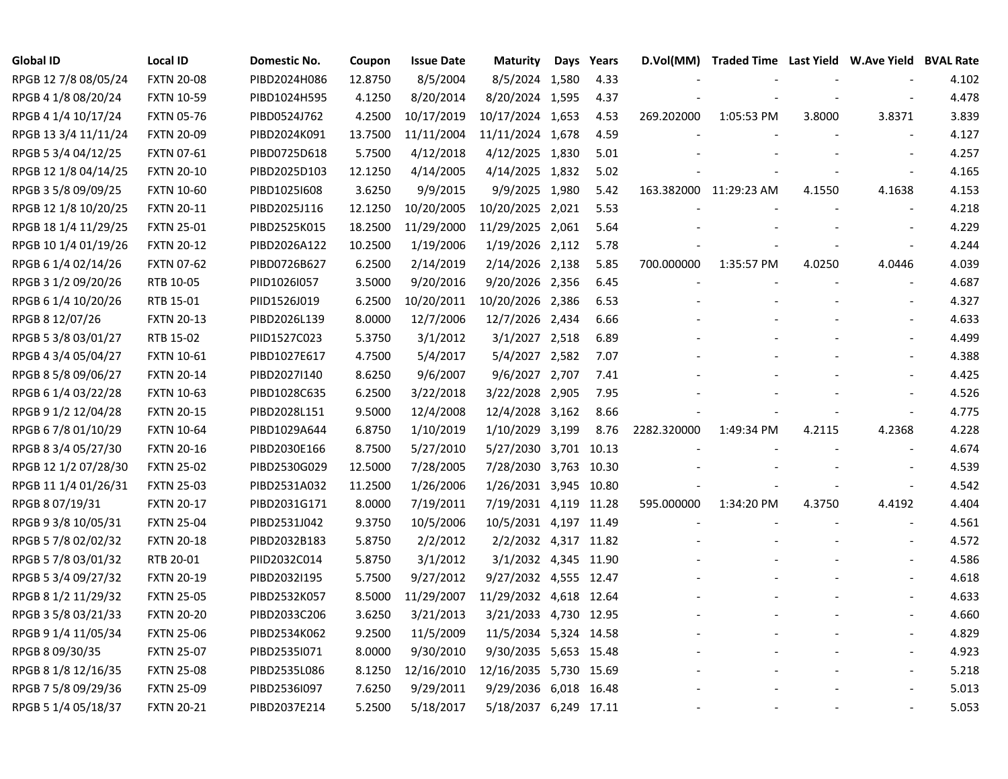| <b>Global ID</b>     | <b>Local ID</b>   | Domestic No. | Coupon  | <b>Issue Date</b> | <b>Maturity</b>        | Days Years | D.Vol(MM)   | Traded Time Last Yield W.Ave Yield BVAL Rate |        |                          |       |
|----------------------|-------------------|--------------|---------|-------------------|------------------------|------------|-------------|----------------------------------------------|--------|--------------------------|-------|
| RPGB 12 7/8 08/05/24 | <b>FXTN 20-08</b> | PIBD2024H086 | 12.8750 | 8/5/2004          | 8/5/2024 1,580         | 4.33       |             |                                              |        |                          | 4.102 |
| RPGB 4 1/8 08/20/24  | <b>FXTN 10-59</b> | PIBD1024H595 | 4.1250  | 8/20/2014         | 8/20/2024 1,595        | 4.37       |             |                                              |        |                          | 4.478 |
| RPGB 4 1/4 10/17/24  | <b>FXTN 05-76</b> | PIBD0524J762 | 4.2500  | 10/17/2019        | 10/17/2024 1,653       | 4.53       | 269.202000  | 1:05:53 PM                                   | 3.8000 | 3.8371                   | 3.839 |
| RPGB 13 3/4 11/11/24 | <b>FXTN 20-09</b> | PIBD2024K091 | 13.7500 | 11/11/2004        | 11/11/2024 1,678       | 4.59       |             |                                              |        |                          | 4.127 |
| RPGB 5 3/4 04/12/25  | FXTN 07-61        | PIBD0725D618 | 5.7500  | 4/12/2018         | 4/12/2025 1,830        | 5.01       |             |                                              |        |                          | 4.257 |
| RPGB 12 1/8 04/14/25 | <b>FXTN 20-10</b> | PIBD2025D103 | 12.1250 | 4/14/2005         | 4/14/2025 1,832        | 5.02       |             |                                              |        |                          | 4.165 |
| RPGB 3 5/8 09/09/25  | <b>FXTN 10-60</b> | PIBD1025I608 | 3.6250  | 9/9/2015          | 9/9/2025 1,980         | 5.42       |             | 163.382000 11:29:23 AM                       | 4.1550 | 4.1638                   | 4.153 |
| RPGB 12 1/8 10/20/25 | <b>FXTN 20-11</b> | PIBD2025J116 | 12.1250 | 10/20/2005        | 10/20/2025 2,021       | 5.53       |             |                                              |        |                          | 4.218 |
| RPGB 18 1/4 11/29/25 | <b>FXTN 25-01</b> | PIBD2525K015 | 18.2500 | 11/29/2000        | 11/29/2025 2,061       | 5.64       |             |                                              |        |                          | 4.229 |
| RPGB 10 1/4 01/19/26 | <b>FXTN 20-12</b> | PIBD2026A122 | 10.2500 | 1/19/2006         | 1/19/2026 2,112        | 5.78       |             |                                              |        |                          | 4.244 |
| RPGB 6 1/4 02/14/26  | <b>FXTN 07-62</b> | PIBD0726B627 | 6.2500  | 2/14/2019         | 2/14/2026 2,138        | 5.85       | 700.000000  | 1:35:57 PM                                   | 4.0250 | 4.0446                   | 4.039 |
| RPGB 3 1/2 09/20/26  | RTB 10-05         | PIID1026I057 | 3.5000  | 9/20/2016         | 9/20/2026 2,356        | 6.45       |             |                                              |        | $\sim$                   | 4.687 |
| RPGB 6 1/4 10/20/26  | RTB 15-01         | PIID1526J019 | 6.2500  | 10/20/2011        | 10/20/2026 2,386       | 6.53       |             |                                              |        |                          | 4.327 |
| RPGB 8 12/07/26      | <b>FXTN 20-13</b> | PIBD2026L139 | 8.0000  | 12/7/2006         | 12/7/2026 2,434        | 6.66       |             |                                              |        |                          | 4.633 |
| RPGB 5 3/8 03/01/27  | RTB 15-02         | PIID1527C023 | 5.3750  | 3/1/2012          | 3/1/2027 2,518         | 6.89       |             |                                              |        |                          | 4.499 |
| RPGB 4 3/4 05/04/27  | <b>FXTN 10-61</b> | PIBD1027E617 | 4.7500  | 5/4/2017          | 5/4/2027 2,582         | 7.07       |             |                                              |        |                          | 4.388 |
| RPGB 8 5/8 09/06/27  | <b>FXTN 20-14</b> | PIBD2027I140 | 8.6250  | 9/6/2007          | 9/6/2027 2,707         | 7.41       |             |                                              |        |                          | 4.425 |
| RPGB 6 1/4 03/22/28  | <b>FXTN 10-63</b> | PIBD1028C635 | 6.2500  | 3/22/2018         | 3/22/2028 2,905        | 7.95       |             |                                              |        |                          | 4.526 |
| RPGB 9 1/2 12/04/28  | <b>FXTN 20-15</b> | PIBD2028L151 | 9.5000  | 12/4/2008         | 12/4/2028 3,162        | 8.66       |             |                                              |        |                          | 4.775 |
| RPGB 6 7/8 01/10/29  | <b>FXTN 10-64</b> | PIBD1029A644 | 6.8750  | 1/10/2019         | 1/10/2029 3,199        | 8.76       | 2282.320000 | 1:49:34 PM                                   | 4.2115 | 4.2368                   | 4.228 |
| RPGB 8 3/4 05/27/30  | <b>FXTN 20-16</b> | PIBD2030E166 | 8.7500  | 5/27/2010         | 5/27/2030 3,701        | 10.13      |             |                                              |        |                          | 4.674 |
| RPGB 12 1/2 07/28/30 | <b>FXTN 25-02</b> | PIBD2530G029 | 12.5000 | 7/28/2005         | 7/28/2030 3,763        | 10.30      |             |                                              |        |                          | 4.539 |
| RPGB 11 1/4 01/26/31 | <b>FXTN 25-03</b> | PIBD2531A032 | 11.2500 | 1/26/2006         | 1/26/2031 3,945 10.80  |            |             |                                              |        | $\overline{\phantom{a}}$ | 4.542 |
| RPGB 8 07/19/31      | <b>FXTN 20-17</b> | PIBD2031G171 | 8.0000  | 7/19/2011         | 7/19/2031 4,119 11.28  |            | 595.000000  | 1:34:20 PM                                   | 4.3750 | 4.4192                   | 4.404 |
| RPGB 9 3/8 10/05/31  | <b>FXTN 25-04</b> | PIBD2531J042 | 9.3750  | 10/5/2006         | 10/5/2031 4,197 11.49  |            |             |                                              |        | $\overline{\phantom{a}}$ | 4.561 |
| RPGB 5 7/8 02/02/32  | <b>FXTN 20-18</b> | PIBD2032B183 | 5.8750  | 2/2/2012          | 2/2/2032 4,317 11.82   |            |             |                                              |        |                          | 4.572 |
| RPGB 5 7/8 03/01/32  | RTB 20-01         | PIID2032C014 | 5.8750  | 3/1/2012          | 3/1/2032 4,345 11.90   |            |             |                                              |        |                          | 4.586 |
| RPGB 5 3/4 09/27/32  | <b>FXTN 20-19</b> | PIBD2032I195 | 5.7500  | 9/27/2012         | 9/27/2032 4,555 12.47  |            |             |                                              |        |                          | 4.618 |
| RPGB 8 1/2 11/29/32  | <b>FXTN 25-05</b> | PIBD2532K057 | 8.5000  | 11/29/2007        | 11/29/2032 4,618 12.64 |            |             |                                              |        |                          | 4.633 |
| RPGB 3 5/8 03/21/33  | <b>FXTN 20-20</b> | PIBD2033C206 | 3.6250  | 3/21/2013         | 3/21/2033 4,730 12.95  |            |             |                                              |        |                          | 4.660 |
| RPGB 9 1/4 11/05/34  | <b>FXTN 25-06</b> | PIBD2534K062 | 9.2500  | 11/5/2009         | 11/5/2034 5,324 14.58  |            |             |                                              |        |                          | 4.829 |
| RPGB 8 09/30/35      | <b>FXTN 25-07</b> | PIBD2535I071 | 8.0000  | 9/30/2010         | 9/30/2035 5,653 15.48  |            |             |                                              |        | $\blacksquare$           | 4.923 |
| RPGB 8 1/8 12/16/35  | <b>FXTN 25-08</b> | PIBD2535L086 | 8.1250  | 12/16/2010        | 12/16/2035 5,730 15.69 |            |             |                                              |        |                          | 5.218 |
| RPGB 7 5/8 09/29/36  | <b>FXTN 25-09</b> | PIBD2536I097 | 7.6250  | 9/29/2011         | 9/29/2036 6,018 16.48  |            |             |                                              |        |                          | 5.013 |
| RPGB 5 1/4 05/18/37  | <b>FXTN 20-21</b> | PIBD2037E214 | 5.2500  | 5/18/2017         | 5/18/2037 6,249 17.11  |            |             |                                              |        |                          | 5.053 |